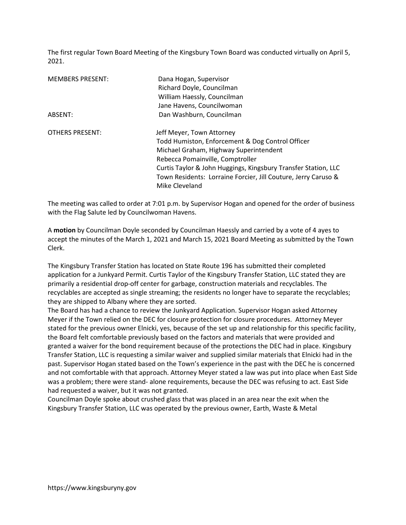The first regular Town Board Meeting of the Kingsbury Town Board was conducted virtually on April 5, 2021.

| <b>MEMBERS PRESENT:</b> | Dana Hogan, Supervisor<br>Richard Doyle, Councilman<br>William Haessly, Councilman<br>Jane Havens, Councilwoman |
|-------------------------|-----------------------------------------------------------------------------------------------------------------|
| ABSENT:                 | Dan Washburn, Councilman                                                                                        |
| <b>OTHERS PRESENT:</b>  | Jeff Meyer, Town Attorney                                                                                       |
|                         | Todd Humiston, Enforcement & Dog Control Officer                                                                |
|                         | Michael Graham, Highway Superintendent                                                                          |
|                         | Rebecca Pomainville, Comptroller                                                                                |
|                         | Curtis Taylor & John Huggings, Kingsbury Transfer Station, LLC                                                  |
|                         | Town Residents: Lorraine Forcier, Jill Couture, Jerry Caruso &                                                  |
|                         | Mike Cleveland                                                                                                  |

The meeting was called to order at 7:01 p.m. by Supervisor Hogan and opened for the order of business with the Flag Salute led by Councilwoman Havens.

A motion by Councilman Doyle seconded by Councilman Haessly and carried by a vote of 4 ayes to accept the minutes of the March 1, 2021 and March 15, 2021 Board Meeting as submitted by the Town Clerk.

The Kingsbury Transfer Station has located on State Route 196 has submitted their completed application for a Junkyard Permit. Curtis Taylor of the Kingsbury Transfer Station, LLC stated they are primarily a residential drop-off center for garbage, construction materials and recyclables. The recyclables are accepted as single streaming; the residents no longer have to separate the recyclables; they are shipped to Albany where they are sorted.

The Board has had a chance to review the Junkyard Application. Supervisor Hogan asked Attorney Meyer if the Town relied on the DEC for closure protection for closure procedures. Attorney Meyer stated for the previous owner Elnicki, yes, because of the set up and relationship for this specific facility, the Board felt comfortable previously based on the factors and materials that were provided and granted a waiver for the bond requirement because of the protections the DEC had in place. Kingsbury Transfer Station, LLC is requesting a similar waiver and supplied similar materials that Elnicki had in the past. Supervisor Hogan stated based on the Town's experience in the past with the DEC he is concerned and not comfortable with that approach. Attorney Meyer stated a law was put into place when East Side was a problem; there were stand- alone requirements, because the DEC was refusing to act. East Side had requested a waiver, but it was not granted.

Councilman Doyle spoke about crushed glass that was placed in an area near the exit when the Kingsbury Transfer Station, LLC was operated by the previous owner, Earth, Waste & Metal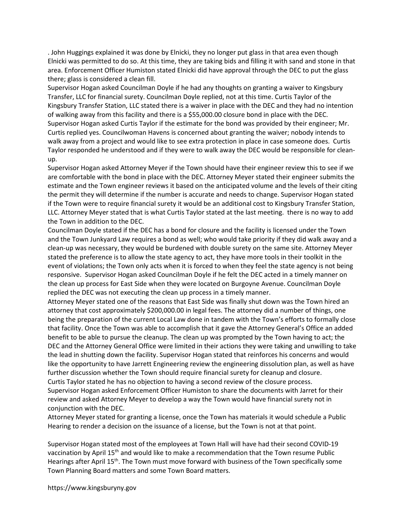. John Huggings explained it was done by Elnicki, they no longer put glass in that area even though Elnicki was permitted to do so. At this time, they are taking bids and filling it with sand and stone in that area. Enforcement Officer Humiston stated Elnicki did have approval through the DEC to put the glass there; glass is considered a clean fill.

Supervisor Hogan asked Councilman Doyle if he had any thoughts on granting a waiver to Kingsbury Transfer, LLC for financial surety. Councilman Doyle replied, not at this time. Curtis Taylor of the Kingsbury Transfer Station, LLC stated there is a waiver in place with the DEC and they had no intention of walking away from this facility and there is a \$55,000.00 closure bond in place with the DEC. Supervisor Hogan asked Curtis Taylor if the estimate for the bond was provided by their engineer; Mr. Curtis replied yes. Councilwoman Havens is concerned about granting the waiver; nobody intends to walk away from a project and would like to see extra protection in place in case someone does. Curtis Taylor responded he understood and if they were to walk away the DEC would be responsible for cleanup.

Supervisor Hogan asked Attorney Meyer if the Town should have their engineer review this to see if we are comfortable with the bond in place with the DEC. Attorney Meyer stated their engineer submits the estimate and the Town engineer reviews it based on the anticipated volume and the levels of their citing the permit they will determine if the number is accurate and needs to change. Supervisor Hogan stated if the Town were to require financial surety it would be an additional cost to Kingsbury Transfer Station, LLC. Attorney Meyer stated that is what Curtis Taylor stated at the last meeting. there is no way to add the Town in addition to the DEC.

Councilman Doyle stated if the DEC has a bond for closure and the facility is licensed under the Town and the Town Junkyard Law requires a bond as well; who would take priority if they did walk away and a clean-up was necessary, they would be burdened with double surety on the same site. Attorney Meyer stated the preference is to allow the state agency to act, they have more tools in their toolkit in the event of violations; the Town only acts when it is forced to when they feel the state agency is not being responsive. Supervisor Hogan asked Councilman Doyle if he felt the DEC acted in a timely manner on the clean up process for East Side when they were located on Burgoyne Avenue. Councilman Doyle replied the DEC was not executing the clean up process in a timely manner.

Attorney Meyer stated one of the reasons that East Side was finally shut down was the Town hired an attorney that cost approximately \$200,000.00 in legal fees. The attorney did a number of things, one being the preparation of the current Local Law done in tandem with the Town's efforts to formally close that facility. Once the Town was able to accomplish that it gave the Attorney General's Office an added benefit to be able to pursue the cleanup. The clean up was prompted by the Town having to act; the DEC and the Attorney General Office were limited in their actions they were taking and unwilling to take the lead in shutting down the facility. Supervisor Hogan stated that reinforces his concerns and would like the opportunity to have Jarrett Engineering review the engineering dissolution plan, as well as have further discussion whether the Town should require financial surety for cleanup and closure. Curtis Taylor stated he has no objection to having a second review of the closure process. Supervisor Hogan asked Enforcement Officer Humiston to share the documents with Jarret for their review and asked Attorney Meyer to develop a way the Town would have financial surety not in conjunction with the DEC.

Attorney Meyer stated for granting a license, once the Town has materials it would schedule a Public Hearing to render a decision on the issuance of a license, but the Town is not at that point.

Supervisor Hogan stated most of the employees at Town Hall will have had their second COVID-19 vaccination by April 15<sup>th</sup> and would like to make a recommendation that the Town resume Public Hearings after April 15<sup>th</sup>. The Town must move forward with business of the Town specifically some Town Planning Board matters and some Town Board matters.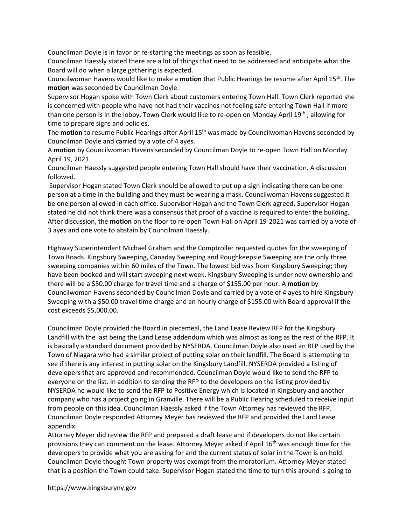Councilman Doyle is in favor or re-starting the meetings as soon as feasible.

Councilman Haessly stated there are a lot of things that need to be addressed and anticipate what the Board will do when a large gathering is expected.

Councilwoman Havens would like to make a motion that Public Hearings be resume after April 15<sup>th</sup>. The motion was seconded by Councilman Doyle.

Supervisor Hogan spoke with Town Clerk about customers entering Town Hall. Town Clerk reported she is concerned with people who have not had their vaccines not feeling safe entering Town Hall if more than one person is in the lobby. Town Clerk would like to re-open on Monday April 19th , allowing for time to prepare signs and policies.

The motion to resume Public Hearings after April 15<sup>th</sup> was made by Councilwoman Havens seconded by Councilman Doyle and carried by a vote of 4 ayes.

A motion by Councilwoman Havens seconded by Councilman Doyle to re-open Town Hall on Monday April 19, 2021.

Councilman Haessly suggested people entering Town Hall should have their vaccination. A discussion followed.

 Supervisor Hogan stated Town Clerk should be allowed to put up a sign indicating there can be one person at a time in the building and they must be wearing a mask. Councilwoman Havens suggested it be one person allowed in each office. Supervisor Hogan and the Town Clerk agreed. Supervisor Hogan stated he did not think there was a consensus that proof of a vaccine is required to enter the building. After discussion, the **motion** on the floor to re-open Town Hall on April 19 2021 was carried by a vote of 3 ayes and one vote to abstain by Councilman Haessly.

Highway Superintendent Michael Graham and the Comptroller requested quotes for the sweeping of Town Roads. Kingsbury Sweeping, Canaday Sweeping and Poughkeepsie Sweeping are the only three sweeping companies within 60 miles of the Town. The lowest bid was from Kingsbury Sweeping; they have been booked and will start sweeping next week. Kingsbury Sweeping is under new ownership and there will be a \$50.00 charge for travel time and a charge of \$155.00 per hour. A motion by Councilwoman Havens seconded by Councilman Doyle and carried by a vote of 4 ayes to hire Kingsbury Sweeping with a \$50.00 travel time charge and an hourly charge of \$155.00 with Board approval if the cost exceeds \$5,000.00.

Councilman Doyle provided the Board in piecemeal, the Land Lease Review RFP for the Kingsbury Landfill with the last being the Land Lease addendum which was almost as long as the rest of the RFP. It is basically a standard document provided by NYSERDA. Councilman Doyle also used an RFP used by the Town of Niagara who had a similar project of putting solar on their landfill. The Board is attempting to see if there is any interest in putting solar on the Kingsbury Landfill. NYSERDA provided a listing of developers that are approved and recommended. Councilman Doyle would like to send the RFP to everyone on the list. In addition to sending the RFP to the developers on the listing provided by NYSERDA he would like to send the RFP to Positive Energy which is located in Kingsbury and another company who has a project going in Granville. There will be a Public Hearing scheduled to receive input from people on this idea. Councilman Haessly asked if the Town Attorney has reviewed the RFP. Councilman Doyle responded Attorney Meyer has reviewed the RFP and provided the Land Lease appendix.

Attorney Meyer did review the RFP and prepared a draft lease and if developers do not like certain provisions they can comment on the lease. Attorney Meyer asked if April 16<sup>th</sup> was enough time for the developers to provide what you are asking for and the current status of solar in the Town is on hold. Councilman Doyle thought Town property was exempt from the moratorium. Attorney Meyer stated that is a position the Town could take. Supervisor Hogan stated the time to turn this around is going to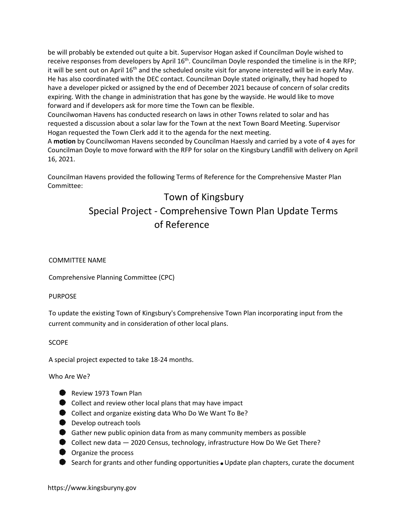be will probably be extended out quite a bit. Supervisor Hogan asked if Councilman Doyle wished to receive responses from developers by April 16<sup>th</sup>. Councilman Doyle responded the timeline is in the RFP; it will be sent out on April  $16<sup>th</sup>$  and the scheduled onsite visit for anyone interested will be in early May. He has also coordinated with the DEC contact. Councilman Doyle stated originally, they had hoped to have a developer picked or assigned by the end of December 2021 because of concern of solar credits expiring. With the change in administration that has gone by the wayside. He would like to move forward and if developers ask for more time the Town can be flexible.

Councilwoman Havens has conducted research on laws in other Towns related to solar and has requested a discussion about a solar law for the Town at the next Town Board Meeting. Supervisor Hogan requested the Town Clerk add it to the agenda for the next meeting.

A motion by Councilwoman Havens seconded by Councilman Haessly and carried by a vote of 4 ayes for Councilman Doyle to move forward with the RFP for solar on the Kingsbury Landfill with delivery on April 16, 2021.

Councilman Havens provided the following Terms of Reference for the Comprehensive Master Plan Committee:

# Town of Kingsbury Special Project - Comprehensive Town Plan Update Terms of Reference

# COMMITTEE NAME

Comprehensive Planning Committee (CPC)

## PURPOSE

To update the existing Town of Kingsbury's Comprehensive Town Plan incorporating input from the current community and in consideration of other local plans.

## SCOPE

A special project expected to take 18-24 months.

Who Are We?

- Review 1973 Town Plan
- Collect and review other local plans that may have impact
- Collect and organize existing data Who Do We Want To Be?
- **Develop outreach tools**
- Gather new public opinion data from as many community members as possible
- Collect new data 2020 Census, technology, infrastructure How Do We Get There?
- **O** Organize the process
- Search for grants and other funding opportunities  $\bullet$  Update plan chapters, curate the document

https://www.kingsburyny.gov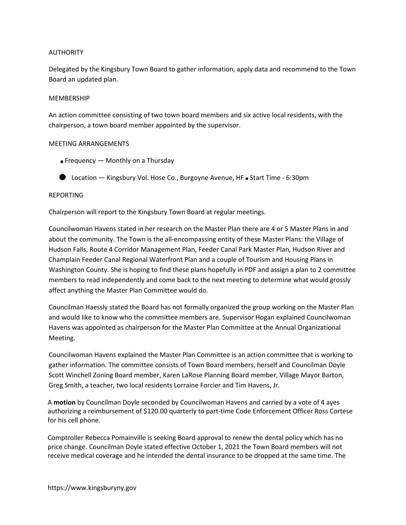#### AUTHORITY

Delegated by the Kingsbury Town Board to gather information, apply data and recommend to the Town Board an updated plan.

#### MEMBERSHIP

An action committee consisting of two town board members and six active local residents, with the chairperson, a town board member appointed by the supervisor.

#### MEETING ARRANGEMENTS

- Frequency Monthly on a Thursday
- **D** Location Kingsbury Vol. Hose Co., Burgoyne Avenue, HF Start Time 6:30pm

#### REPORTING

Chairperson will report to the Kingsbury Town Board at regular meetings.

Councilwoman Havens stated in her research on the Master Plan there are 4 or 5 Master Plans in and about the community. The Town is the all-encompassing entity of these Master Plans: the Village of Hudson Falls, Route 4 Corridor Management Plan, Feeder Canal Park Master Plan, Hudson River and Champlain Feeder Canal Regional Waterfront Plan and a couple of Tourism and Housing Plans in Washington County. She is hoping to find these plans hopefully in PDF and assign a plan to 2 committee members to read independently and come back to the next meeting to determine what would grossly affect anything the Master Plan Committee would do.

Councilman Haessly stated the Board has not formally organized the group working on the Master Plan and would like to know who the committee members are. Supervisor Hogan explained Councilwoman Havens was appointed as chairperson for the Master Plan Committee at the Annual Organizational Meeting.

Councilwoman Havens explained the Master Plan Committee is an action committee that is working to gather information. The committee consists of Town Board members, herself and Councilman Doyle Scott Winchell Zoning Board member, Karen LaRose Planning Board member, Village Mayor Barton, Greg Smith, a teacher, two local residents Lorraine Forcier and Tim Havens, Jr.

A motion by Councilman Doyle seconded by Councilwoman Havens and carried by a vote of 4 ayes authorizing a reimbursement of \$120.00 quarterly to part-time Code Enforcement Officer Ross Cortese for his cell phone.

Comptroller Rebecca Pomainville is seeking Board approval to renew the dental policy which has no price change. Councilman Doyle stated effective October 1, 2021 the Town Board members will not receive medical coverage and he intended the dental insurance to be dropped at the same time. The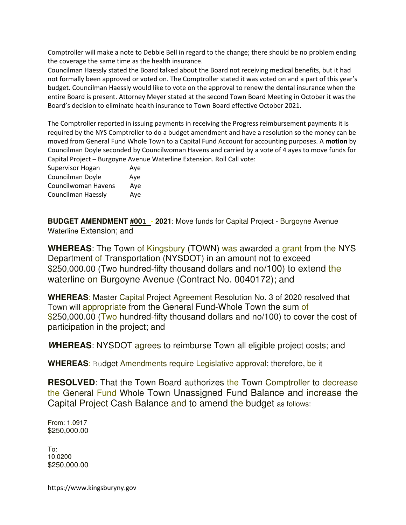Comptroller will make a note to Debbie Bell in regard to the change; there should be no problem ending the coverage the same time as the health insurance.

Councilman Haessly stated the Board talked about the Board not receiving medical benefits, but it had not formally been approved or voted on. The Comptroller stated it was voted on and a part of this year's budget. Councilman Haessly would like to vote on the approval to renew the dental insurance when the entire Board is present. Attorney Meyer stated at the second Town Board Meeting in October it was the Board's decision to eliminate health insurance to Town Board effective October 2021.

The Comptroller reported in issuing payments in receiving the Progress reimbursement payments it is required by the NYS Comptroller to do a budget amendment and have a resolution so the money can be moved from General Fund Whole Town to a Capital Fund Account for accounting purposes. A motion by Councilman Doyle seconded by Councilwoman Havens and carried by a vote of 4 ayes to move funds for Capital Project – Burgoyne Avenue Waterline Extension. Roll Call vote:

Supervisor Hogan Aye Councilman Doyle Aye Councilwoman Havens Aye Councilman Haessly Aye

**BUDGET AMENDMENT #001 - 2021**: Move funds for Capital Project - Burgoyne Avenue Waterline Extension; and

**WHEREAS**: The Town of Kingsbury (TOWN) was awarded a grant from the NYS Department of Transportation (NYSDOT) in an amount not to exceed \$250,000.00 (Two hundred-fifty thousand dollars and no/100) to extend the waterline on Burgoyne Avenue (Contract No. 0040172); and

**WHEREAS**: Master Capital Project Agreement Resolution No. 3 of 2020 resolved that Town will appropriate from the General Fund-Whole Town the sum of \$250,000.00 (Two hundred-fifty thousand dollars and no/100) to cover the cost of participation in the project; and

**WHEREAS**: NYSDOT agrees to reimburse Town all eligible project costs; and

**WHEREAS**: Budget Amendments require Legislative approval; therefore, be it

**RESOLVED:** That the Town Board authorizes the Town Comptroller to decrease the General Fund Whole Town Unassigned Fund Balance and increase the Capital Project Cash Balance and to amend the budget as follows:

From: 1.0917 \$250,000.00

To: 10.0200 \$250,000.00

https://www.kingsburyny.gov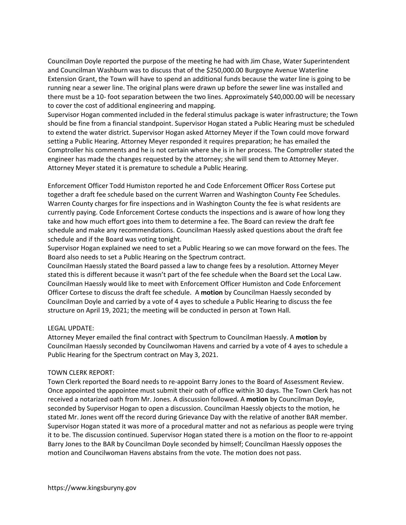Councilman Doyle reported the purpose of the meeting he had with Jim Chase, Water Superintendent and Councilman Washburn was to discuss that of the \$250,000.00 Burgoyne Avenue Waterline Extension Grant, the Town will have to spend an additional funds because the water line is going to be running near a sewer line. The original plans were drawn up before the sewer line was installed and there must be a 10- foot separation between the two lines. Approximately \$40,000.00 will be necessary to cover the cost of additional engineering and mapping.

Supervisor Hogan commented included in the federal stimulus package is water infrastructure; the Town should be fine from a financial standpoint. Supervisor Hogan stated a Public Hearing must be scheduled to extend the water district. Supervisor Hogan asked Attorney Meyer if the Town could move forward setting a Public Hearing. Attorney Meyer responded it requires preparation; he has emailed the Comptroller his comments and he is not certain where she is in her process. The Comptroller stated the engineer has made the changes requested by the attorney; she will send them to Attorney Meyer. Attorney Meyer stated it is premature to schedule a Public Hearing.

Enforcement Officer Todd Humiston reported he and Code Enforcement Officer Ross Cortese put together a draft fee schedule based on the current Warren and Washington County Fee Schedules. Warren County charges for fire inspections and in Washington County the fee is what residents are currently paying. Code Enforcement Cortese conducts the inspections and is aware of how long they take and how much effort goes into them to determine a fee. The Board can review the draft fee schedule and make any recommendations. Councilman Haessly asked questions about the draft fee schedule and if the Board was voting tonight.

Supervisor Hogan explained we need to set a Public Hearing so we can move forward on the fees. The Board also needs to set a Public Hearing on the Spectrum contract.

Councilman Haessly stated the Board passed a law to change fees by a resolution. Attorney Meyer stated this is different because it wasn't part of the fee schedule when the Board set the Local Law. Councilman Haessly would like to meet with Enforcement Officer Humiston and Code Enforcement Officer Cortese to discuss the draft fee schedule. A motion by Councilman Haessly seconded by Councilman Doyle and carried by a vote of 4 ayes to schedule a Public Hearing to discuss the fee structure on April 19, 2021; the meeting will be conducted in person at Town Hall.

#### LEGAL UPDATE:

Attorney Meyer emailed the final contract with Spectrum to Councilman Haessly. A motion by Councilman Haessly seconded by Councilwoman Havens and carried by a vote of 4 ayes to schedule a Public Hearing for the Spectrum contract on May 3, 2021.

#### TOWN CLERK REPORT:

Town Clerk reported the Board needs to re-appoint Barry Jones to the Board of Assessment Review. Once appointed the appointee must submit their oath of office within 30 days. The Town Clerk has not received a notarized oath from Mr. Jones. A discussion followed. A motion by Councilman Doyle, seconded by Supervisor Hogan to open a discussion. Councilman Haessly objects to the motion, he stated Mr. Jones went off the record during Grievance Day with the relative of another BAR member. Supervisor Hogan stated it was more of a procedural matter and not as nefarious as people were trying it to be. The discussion continued. Supervisor Hogan stated there is a motion on the floor to re-appoint Barry Jones to the BAR by Councilman Doyle seconded by himself; Councilman Haessly opposes the motion and Councilwoman Havens abstains from the vote. The motion does not pass.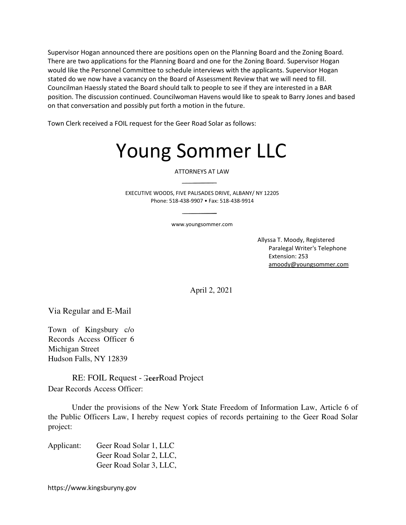Supervisor Hogan announced there are positions open on the Planning Board and the Zoning Board. There are two applications for the Planning Board and one for the Zoning Board. Supervisor Hogan would like the Personnel Committee to schedule interviews with the applicants. Supervisor Hogan stated do we now have a vacancy on the Board of Assessment Review that we will need to fill. Councilman Haessly stated the Board should talk to people to see if they are interested in a BAR position. The discussion continued. Councilwoman Havens would like to speak to Barry Jones and based on that conversation and possibly put forth a motion in the future.

Town Clerk received a FOIL request for the Geer Road Solar as follows:

# Young Sommer LLC

ATTORNEYS AT LAW

EXECUTIVE WOODS, FIVE PALISADES DRIVE, ALBANY/ NY 12205 Phone: 518-438-9907 • Fax: 518-438-9914

www.youngsommer.com

Allyssa T. Moody, Registered Paralegal Writer's Telephone Extension: 253 amoody@youngsommer.com

April 2, 2021

Via Regular and E-Mail

Town of Kingsbury c/o Records Access Officer 6 Michigan Street Hudson Falls, NY 12839

RE: FOIL Request - GeerRoad Project Dear Records Access Officer:

Under the provisions of the New York State Freedom of Information Law, Article 6 of the Public Officers Law, I hereby request copies of records pertaining to the Geer Road Solar project:

Applicant: Geer Road Solar 1, LLC Geer Road Solar 2, LLC, Geer Road Solar 3, LLC,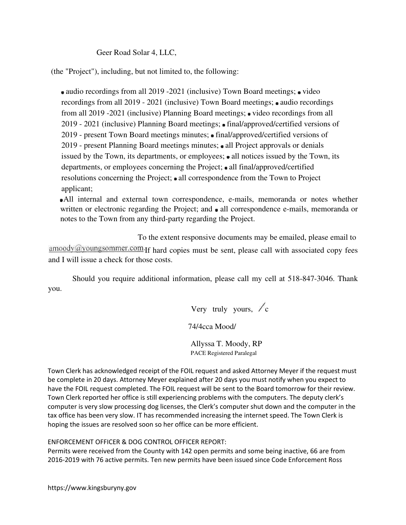Geer Road Solar 4, LLC,

(the "Project"), including, but not limited to, the following:

audio recordings from all 2019 -2021 (inclusive) Town Board meetings; video recordings from all 2019 - 2021 (inclusive) Town Board meetings; audio recordings from all 2019 -2021 (inclusive) Planning Board meetings; • video recordings from all 2019 - 2021 (inclusive) Planning Board meetings; • final/approved/certified versions of 2019 - present Town Board meetings minutes;  $\bullet$  final/approved/certified versions of 2019 - present Planning Board meetings minutes; • all Project approvals or denials issued by the Town, its departments, or employees; • all notices issued by the Town, its departments, or employees concerning the Project; all final/approved/certified resolutions concerning the Project; all correspondence from the Town to Project applicant;

All internal and external town correspondence, e-mails, memoranda or notes whether written or electronic regarding the Project; and  $\bullet$  all correspondence e-mails, memoranda or notes to the Town from any third-party regarding the Project.

To the extent responsive documents may be emailed, please email to amoody@youngsommer.com If hard copies must be sent, please call with associated copy fees and I will issue a check for those costs.

Should you require additional information, please call my cell at 518-847-3046. Thank you.

Very truly yours,  $\angle c$ 

74/4cca Mood/

Allyssa T. Moody, RP PACE Registered Paralegal

Town Clerk has acknowledged receipt of the FOIL request and asked Attorney Meyer if the request must be complete in 20 days. Attorney Meyer explained after 20 days you must notify when you expect to have the FOIL request completed. The FOIL request will be sent to the Board tomorrow for their review. Town Clerk reported her office is still experiencing problems with the computers. The deputy clerk's computer is very slow processing dog licenses, the Clerk's computer shut down and the computer in the tax office has been very slow. IT has recommended increasing the internet speed. The Town Clerk is hoping the issues are resolved soon so her office can be more efficient.

ENFORCEMENT OFFICER & DOG CONTROL OFFICER REPORT:

Permits were received from the County with 142 open permits and some being inactive, 66 are from 2016-2019 with 76 active permits. Ten new permits have been issued since Code Enforcement Ross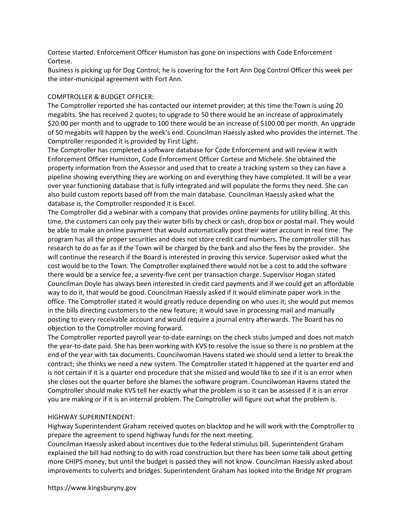Cortese started. Enforcement Officer Humiston has gone on inspections with Code Enforcement Cortese.

Business is picking up for Dog Control; he is covering for the Fort Ann Dog Control Officer this week per the inter-municipal agreement with Fort Ann.

#### COMPTROLLER & BUDGET OFFICER:

The Comptroller reported she has contacted our internet provider; at this time the Town is using 20 megabits. She has received 2 quotes; to upgrade to 50 there would be an increase of approximately \$20.00 per month and to upgrade to 100 there would be an increase of \$100.00 per month. An upgrade of 50 megabits will happen by the week's end. Councilman Haessly asked who provides the internet. The Comptroller responded it is provided by First Light.

The Comptroller has completed a software database for Code Enforcement and will review it with Enforcement Officer Humiston, Code Enforcement Officer Cortese and Michele. She obtained the property information from the Assessor and used that to create a tracking system so they can have a pipeline showing everything they are working on and everything they have completed. It will be a year over year functioning database that is fully integrated and will populate the forms they need. She can also build custom reports based off from the main database. Councilman Haessly asked what the database is, the Comptroller responded it is Excel.

The Comptroller did a webinar with a company that provides online payments for utility billing. At this time, the customers can only pay their water bills by check or cash, drop box or postal mail. They would be able to make an online payment that would automatically post their water account in real time. The program has all the proper securities and does not store credit card numbers. The comptroller still has research to do as far as if the Town will be charged by the bank and also the fees by the provider. She will continue the research if the Board is interested in proving this service. Supervisor asked what the cost would be to the Town. The Comptroller explained there would not be a cost to add the software there would be a service fee, a seventy-five cent per transaction charge. Supervisor Hogan stated Councilman Doyle has always been interested in credit card payments and if we could get an affordable way to do it, that would be good. Councilman Haessly asked if it would eliminate paper work in the office. The Comptroller stated it would greatly reduce depending on who uses it; she would put memos in the bills directing customers to the new feature; it would save in processing mail and manually posting to every receivable account and would require a journal entry afterwards. The Board has no objection to the Comptroller moving forward.

The Comptroller reported payroll year-to-date earnings on the check stubs jumped and does not match the year-to-date paid. She has been working with KVS to resolve the issue so there is no problem at the end of the year with tax documents. Councilwoman Havens stated we should send a letter to break the contract; she thinks we need a new system. The Comptroller stated it happened at the quarter end and is not certain if it is a quarter end procedure that she missed and would like to see if it is an error when she closes out the quarter before she blames the software program. Councilwoman Havens stated the Comptroller should make KVS tell her exactly what the problem is so it can be assessed if it is an error you are making or if it is an internal problem. The Comptroller will figure out what the problem is.

#### HIGHWAY SUPERINTENDENT:

Highway Superintendent Graham received quotes on blacktop and he will work with the Comptroller to prepare the agreement to spend highway funds for the next meeting.

Councilman Haessly asked about incentives due to the federal stimulus bill. Superintendent Graham explained the bill had nothing to do with road construction but there has been some talk about getting more CHIPS money, but until the budget is passed they will not know. Councilman Haessly asked about improvements to culverts and bridges. Superintendent Graham has looked into the Bridge NY program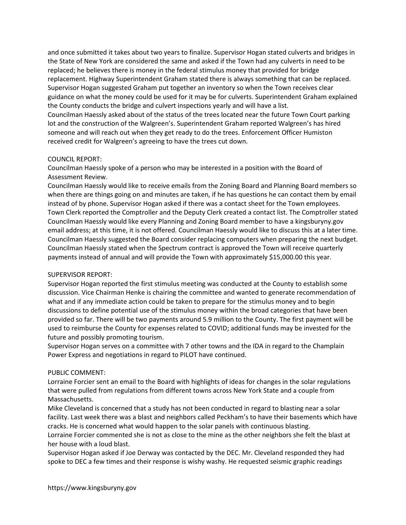and once submitted it takes about two years to finalize. Supervisor Hogan stated culverts and bridges in the State of New York are considered the same and asked if the Town had any culverts in need to be replaced; he believes there is money in the federal stimulus money that provided for bridge replacement. Highway Superintendent Graham stated there is always something that can be replaced. Supervisor Hogan suggested Graham put together an inventory so when the Town receives clear guidance on what the money could be used for it may be for culverts. Superintendent Graham explained the County conducts the bridge and culvert inspections yearly and will have a list. Councilman Haessly asked about of the status of the trees located near the future Town Court parking lot and the construction of the Walgreen's. Superintendent Graham reported Walgreen's has hired someone and will reach out when they get ready to do the trees. Enforcement Officer Humiston received credit for Walgreen's agreeing to have the trees cut down.

#### COUNCIL REPORT:

Councilman Haessly spoke of a person who may be interested in a position with the Board of Assessment Review.

Councilman Haessly would like to receive emails from the Zoning Board and Planning Board members so when there are things going on and minutes are taken, if he has questions he can contact them by email instead of by phone. Supervisor Hogan asked if there was a contact sheet for the Town employees. Town Clerk reported the Comptroller and the Deputy Clerk created a contact list. The Comptroller stated Councilman Haessly would like every Planning and Zoning Board member to have a kingsburyny.gov email address; at this time, it is not offered. Councilman Haessly would like to discuss this at a later time. Councilman Haessly suggested the Board consider replacing computers when preparing the next budget. Councilman Haessly stated when the Spectrum contract is approved the Town will receive quarterly payments instead of annual and will provide the Town with approximately \$15,000.00 this year.

#### SUPERVISOR REPORT:

Supervisor Hogan reported the first stimulus meeting was conducted at the County to establish some discussion. Vice Chairman Henke is chairing the committee and wanted to generate recommendation of what and if any immediate action could be taken to prepare for the stimulus money and to begin discussions to define potential use of the stimulus money within the broad categories that have been provided so far. There will be two payments around 5.9 million to the County. The first payment will be used to reimburse the County for expenses related to COVID; additional funds may be invested for the future and possibly promoting tourism.

Supervisor Hogan serves on a committee with 7 other towns and the IDA in regard to the Champlain Power Express and negotiations in regard to PILOT have continued.

#### PUBLIC COMMENT:

Lorraine Forcier sent an email to the Board with highlights of ideas for changes in the solar regulations that were pulled from regulations from different towns across New York State and a couple from Massachusetts.

Mike Cleveland is concerned that a study has not been conducted in regard to blasting near a solar facility. Last week there was a blast and neighbors called Peckham's to have their basements which have cracks. He is concerned what would happen to the solar panels with continuous blasting.

Lorraine Forcier commented she is not as close to the mine as the other neighbors she felt the blast at her house with a loud blast.

Supervisor Hogan asked if Joe Derway was contacted by the DEC. Mr. Cleveland responded they had spoke to DEC a few times and their response is wishy washy. He requested seismic graphic readings